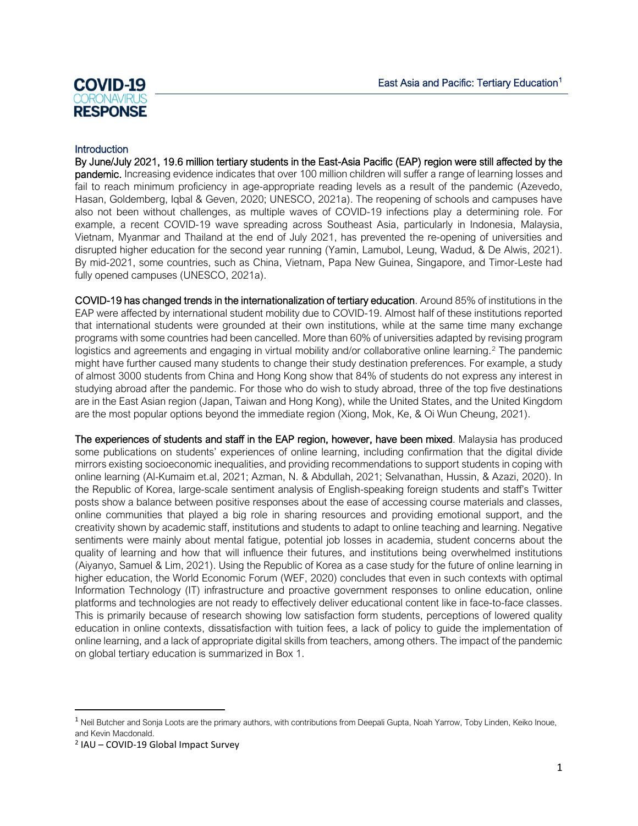# **COVID-19** :( )R( )NA **RESPONSE**

#### **Introduction**

By June/July 2021, 19.6 million tertiary students in the East-Asia Pacific (EAP) region were still affected by the pandemic. Increasing evidence indicates that over 100 million children will suffer a range of learning losses and fail to reach minimum proficiency in age-appropriate reading levels as a result of the pandemic (Azevedo, Hasan, Goldemberg, Iqbal & Geven, 2020; UNESCO, 2021a). The reopening of schools and campuses have also not been without challenges, as multiple waves of COVID-19 infections play a determining role. For example, a recent COVID-19 wave spreading across Southeast Asia, particularly in Indonesia, Malaysia, Vietnam, Myanmar and Thailand at the end of July 2021, has prevented the re-opening of universities and disrupted higher education for the second year running (Yamin, Lamubol, Leung, Wadud, & De Alwis, 2021). By mid-2021, some countries, such as China, Vietnam, Papa New Guinea, Singapore, and Timor-Leste had fully opened campuses (UNESCO, 2021a).

COVID-19 has changed trends in the internationalization of tertiary education. Around 85% of institutions in the EAP were affected by international student mobility due to COVID-19. Almost half of these institutions reported that international students were grounded at their own institutions, while at the same time many exchange programs with some countries had been cancelled. More than 60% of universities adapted by revising program logistics and agreements and engaging in virtual mobility and/or collaborative online learning.<sup>[2](#page-0-1)</sup> The pandemic might have further caused many students to change their study destination preferences. For example, a study of almost 3000 students from China and Hong Kong show that 84% of students do not express any interest in studying abroad after the pandemic. For those who do wish to study abroad, three of the top five destinations are in the East Asian region (Japan, Taiwan and Hong Kong), while the United States, and the United Kingdom are the most popular options beyond the immediate region (Xiong, Mok, Ke, & Oi Wun Cheung, 2021).

The experiences of students and staff in the EAP region, however, have been mixed. Malaysia has produced some publications on students' experiences of online learning, including confirmation that the digital divide mirrors existing socioeconomic inequalities, and providing recommendations to support students in coping with online learning (Al-Kumaim et.al, 2021; Azman, N. & Abdullah, 2021; Selvanathan, Hussin, & Azazi, 2020). In the Republic of Korea, large-scale sentiment analysis of English-speaking foreign students and staff's Twitter posts show a balance between positive responses about the ease of accessing course materials and classes, online communities that played a big role in sharing resources and providing emotional support, and the creativity shown by academic staff, institutions and students to adapt to online teaching and learning. Negative sentiments were mainly about mental fatigue, potential job losses in academia, student concerns about the quality of learning and how that will influence their futures, and institutions being overwhelmed institutions (Aiyanyo, Samuel & Lim, 2021). Using the Republic of Korea as a case study for the future of online learning in higher education, the World Economic Forum (WEF, 2020) concludes that even in such contexts with optimal Information Technology (IT) infrastructure and proactive government responses to online education, online platforms and technologies are not ready to effectively deliver educational content like in face-to-face classes. This is primarily because of research showing low satisfaction form students, perceptions of lowered quality education in online contexts, dissatisfaction with tuition fees, a lack of policy to guide the implementation of online learning, and a lack of appropriate digital skills from teachers, among others. The impact of the pandemic on global tertiary education is summarized in Box 1.

<span id="page-0-0"></span> $1$  Neil Butcher and Sonia Loots are the primary authors, with contributions from Deepali Gupta, Noah Yarrow, Toby Linden, Keiko Inoue, and Kevin Macdonald.

<span id="page-0-1"></span><sup>2</sup> IAU – COVID-19 Global Impact Survey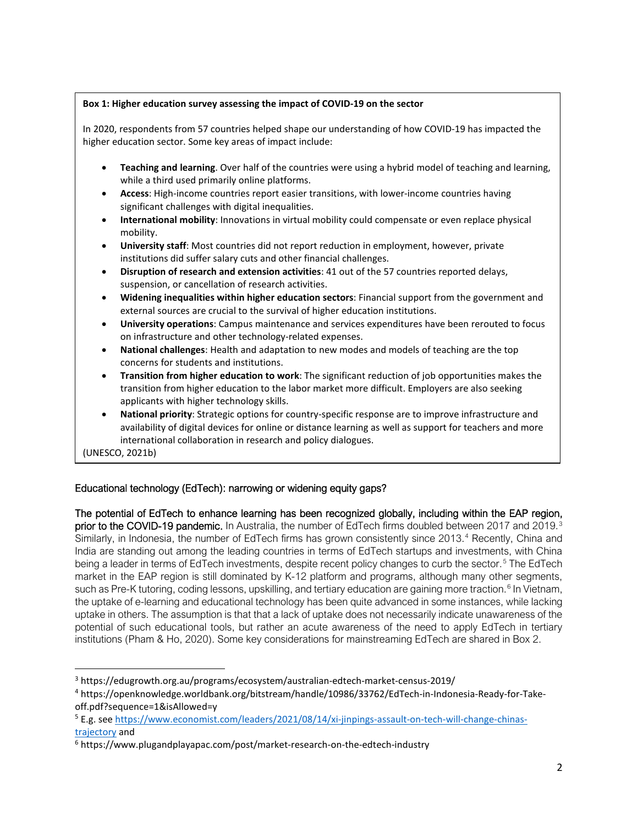#### **Box 1: Higher education survey assessing the impact of COVID-19 on the sector**

In 2020, respondents from 57 countries helped shape our understanding of how COVID-19 has impacted the higher education sector. Some key areas of impact include:

- **Teaching and learning**. Over half of the countries were using a hybrid model of teaching and learning, while a third used primarily online platforms.
- **Access**: High-income countries report easier transitions, with lower-income countries having significant challenges with digital inequalities.
- **International mobility**: Innovations in virtual mobility could compensate or even replace physical mobility.
- **University staff**: Most countries did not report reduction in employment, however, private institutions did suffer salary cuts and other financial challenges.
- **Disruption of research and extension activities**: 41 out of the 57 countries reported delays, suspension, or cancellation of research activities.
- **Widening inequalities within higher education sectors**: Financial support from the government and external sources are crucial to the survival of higher education institutions.
- **University operations**: Campus maintenance and services expenditures have been rerouted to focus on infrastructure and other technology-related expenses.
- **National challenges**: Health and adaptation to new modes and models of teaching are the top concerns for students and institutions.
- **Transition from higher education to work**: The significant reduction of job opportunities makes the transition from higher education to the labor market more difficult. Employers are also seeking applicants with higher technology skills.
- **National priority**: Strategic options for country-specific response are to improve infrastructure and availability of digital devices for online or distance learning as well as support for teachers and more international collaboration in research and policy dialogues.

(UNESCO, 2021b)

## Educational technology (EdTech): narrowing or widening equity gaps?

The potential of EdTech to enhance learning has been recognized globally, including within the EAP region, **prior to the COVID-19 pandemic.** In Australia, the number of EdTech firms doubled between 2017 and 2019.<sup>[3](#page-1-0)</sup> Similarly, in Indonesia, the number of EdTech firms has grown consistently since 2013. [4](#page-1-1) Recently, China and India are standing out among the leading countries in terms of EdTech startups and investments, with China being a leader in terms of EdTech investments, despite recent policy changes to curb the sector.<sup>[5](#page-1-2)</sup> The EdTech market in the EAP region is still dominated by K-12 platform and programs, although many other segments, such as Pre-K tutoring, coding lessons, upskilling, and tertiary education are gaining more traction.<sup>[6](#page-1-3)</sup> In Vietnam, the uptake of e-learning and educational technology has been quite advanced in some instances, while lacking uptake in others. The assumption is that that a lack of uptake does not necessarily indicate unawareness of the potential of such educational tools, but rather an acute awareness of the need to apply EdTech in tertiary institutions (Pham & Ho, 2020). Some key considerations for mainstreaming EdTech are shared in Box 2.

<span id="page-1-0"></span><sup>3</sup> https://edugrowth.org.au/programs/ecosystem/australian-edtech-market-census-2019/

<span id="page-1-1"></span><sup>4</sup> https://openknowledge.worldbank.org/bitstream/handle/10986/33762/EdTech-in-Indonesia-Ready-for-Takeoff.pdf?sequence=1&isAllowed=y

<span id="page-1-2"></span><sup>5</sup> E.g. se[e https://www.economist.com/leaders/2021/08/14/xi-jinpings-assault-on-tech-will-change-chinas-](https://www.economist.com/leaders/2021/08/14/xi-jinpings-assault-on-tech-will-change-chinas-trajectory)

<span id="page-1-3"></span>trajectory and<br><sup>6</sup> https://www.plugandplayapac.com/post/market-research-on-the-edtech-industry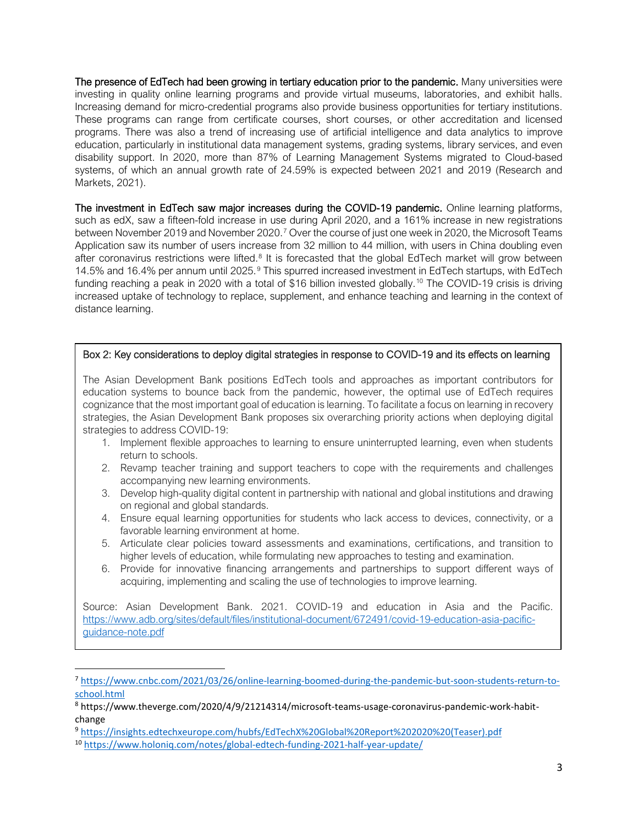The presence of EdTech had been growing in tertiary education prior to the pandemic. Many universities were investing in quality online learning programs and provide virtual museums, laboratories, and exhibit halls. Increasing demand for micro-credential programs also provide business opportunities for tertiary institutions. These programs can range from certificate courses, short courses, or other accreditation and licensed programs. There was also a trend of increasing use of artificial intelligence and data analytics to improve education, particularly in institutional data management systems, grading systems, library services, and even disability support. In 2020, more than 87% of Learning Management Systems migrated to Cloud-based systems, of which an annual growth rate of 24.59% is expected between 2021 and 2019 (Research and Markets, 2021).

The investment in EdTech saw major increases during the COVID-19 pandemic. Online learning platforms, such as edX, saw a fifteen-fold increase in use during April 2020, and a 161% increase in new registrations between November 2019 and November 2020.<sup>[7](#page-2-0)</sup> Over the course of just one week in 2020, the Microsoft Teams Application saw its number of users increase from 32 million to 44 million, with users in China doubling even after coronavirus restrictions were lifted.<sup>[8](#page-2-1)</sup> It is forecasted that the global EdTech market will grow between 14.5% and 16.4% per annum until 2025.[9](#page-2-2) This spurred increased investment in EdTech startups, with EdTech funding reaching a peak in 2020 with a total of \$16 billion invested globally. [10](#page-2-3) The COVID-19 crisis is driving increased uptake of technology to replace, supplement, and enhance teaching and learning in the context of distance learning.

#### Box 2: Key considerations to deploy digital strategies in response to COVID-19 and its effects on learning

The Asian Development Bank positions EdTech tools and approaches as important contributors for education systems to bounce back from the pandemic, however, the optimal use of EdTech requires cognizance that the most important goal of education is learning. To facilitate a focus on learning in recovery strategies, the Asian Development Bank proposes six overarching priority actions when deploying digital strategies to address COVID-19:

- 1. Implement flexible approaches to learning to ensure uninterrupted learning, even when students return to schools.
- 2. Revamp teacher training and support teachers to cope with the requirements and challenges accompanying new learning environments.
- 3. Develop high-quality digital content in partnership with national and global institutions and drawing on regional and global standards.
- 4. Ensure equal learning opportunities for students who lack access to devices, connectivity, or a favorable learning environment at home.
- 5. Articulate clear policies toward assessments and examinations, certifications, and transition to higher levels of education, while formulating new approaches to testing and examination.
- 6. Provide for innovative financing arrangements and partnerships to support different ways of acquiring, implementing and scaling the use of technologies to improve learning.

Source: Asian Development Bank. 2021. COVID-19 and education in Asia and the Pacific. [https://www.adb.org/sites/default/files/institutional-document/672491/covid-19-education-asia-pacific](https://www.adb.org/sites/default/files/institutional-document/672491/covid-19-education-asia-pacific-guidance-note.pdf)[guidance-note.pdf](https://www.adb.org/sites/default/files/institutional-document/672491/covid-19-education-asia-pacific-guidance-note.pdf)

<span id="page-2-0"></span><sup>7</sup> [https://www.cnbc.com/2021/03/26/online-learning-boomed-during-the-pandemic-but-soon-students-return-to](https://www.cnbc.com/2021/03/26/online-learning-boomed-during-the-pandemic-but-soon-students-return-to-school.html)[school.html](https://www.cnbc.com/2021/03/26/online-learning-boomed-during-the-pandemic-but-soon-students-return-to-school.html)

<span id="page-2-1"></span><sup>8</sup> https://www.theverge.com/2020/4/9/21214314/microsoft-teams-usage-coronavirus-pandemic-work-habitchange

<span id="page-2-2"></span><sup>9</sup> [https://insights.edtechxeurope.com/hubfs/EdTechX%20Global%20Report%202020%20\(Teaser\).pdf](https://insights.edtechxeurope.com/hubfs/EdTechX%20Global%20Report%202020%20(Teaser).pdf)

<span id="page-2-3"></span><sup>10</sup> <https://www.holoniq.com/notes/global-edtech-funding-2021-half-year-update/>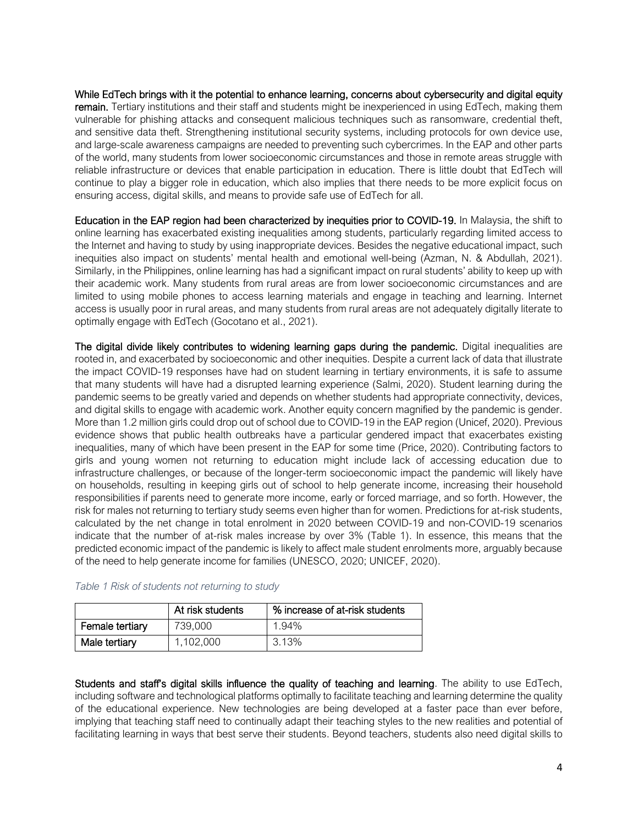While EdTech brings with it the potential to enhance learning, concerns about cybersecurity and digital equity remain. Tertiary institutions and their staff and students might be inexperienced in using EdTech, making them vulnerable for phishing attacks and consequent malicious techniques such as ransomware, credential theft, and sensitive data theft. Strengthening institutional security systems, including protocols for own device use, and large-scale awareness campaigns are needed to preventing such cybercrimes. In the EAP and other parts of the world, many students from lower socioeconomic circumstances and those in remote areas struggle with reliable infrastructure or devices that enable participation in education. There is little doubt that EdTech will continue to play a bigger role in education, which also implies that there needs to be more explicit focus on ensuring access, digital skills, and means to provide safe use of EdTech for all.

Education in the EAP region had been characterized by inequities prior to COVID-19. In Malaysia, the shift to online learning has exacerbated existing inequalities among students, particularly regarding limited access to the Internet and having to study by using inappropriate devices. Besides the negative educational impact, such inequities also impact on students' mental health and emotional well-being (Azman, N. & Abdullah, 2021). Similarly, in the Philippines, online learning has had a significant impact on rural students' ability to keep up with their academic work. Many students from rural areas are from lower socioeconomic circumstances and are limited to using mobile phones to access learning materials and engage in teaching and learning. Internet access is usually poor in rural areas, and many students from rural areas are not adequately digitally literate to optimally engage with EdTech (Gocotano et al., 2021).

The digital divide likely contributes to widening learning gaps during the pandemic. Digital inequalities are rooted in, and exacerbated by socioeconomic and other inequities. Despite a current lack of data that illustrate the impact COVID-19 responses have had on student learning in tertiary environments, it is safe to assume that many students will have had a disrupted learning experience (Salmi, 2020). Student learning during the pandemic seems to be greatly varied and depends on whether students had appropriate connectivity, devices, and digital skills to engage with academic work. Another equity concern magnified by the pandemic is gender. More than 1.2 million girls could drop out of school due to COVID-19 in the EAP region (Unicef, 2020). Previous evidence shows that public health outbreaks have a particular gendered impact that exacerbates existing inequalities, many of which have been present in the EAP for some time (Price, 2020). Contributing factors to girls and young women not returning to education might include lack of accessing education due to infrastructure challenges, or because of the longer-term socioeconomic impact the pandemic will likely have on households, resulting in keeping girls out of school to help generate income, increasing their household responsibilities if parents need to generate more income, early or forced marriage, and so forth. However, the risk for males not returning to tertiary study seems even higher than for women. Predictions for at-risk students, calculated by the net change in total enrolment in 2020 between COVID-19 and non-COVID-19 scenarios indicate that the number of at-risk males increase by over 3% (Table 1). In essence, this means that the predicted economic impact of the pandemic is likely to affect male student enrolments more, arguably because of the need to help generate income for families (UNESCO, 2020; UNICEF, 2020).

|                 | At risk students | % increase of at-risk students |
|-----------------|------------------|--------------------------------|
| Female tertiary | 739,000          | 1.94%                          |
| Male tertiary   | 1,102,000        | 3.13%                          |

| Table 1 Risk of students not returning to study |  |
|-------------------------------------------------|--|
|-------------------------------------------------|--|

Students and staff's digital skills influence the quality of teaching and learning. The ability to use EdTech, including software and technological platforms optimally to facilitate teaching and learning determine the quality of the educational experience. New technologies are being developed at a faster pace than ever before, implying that teaching staff need to continually adapt their teaching styles to the new realities and potential of facilitating learning in ways that best serve their students. Beyond teachers, students also need digital skills to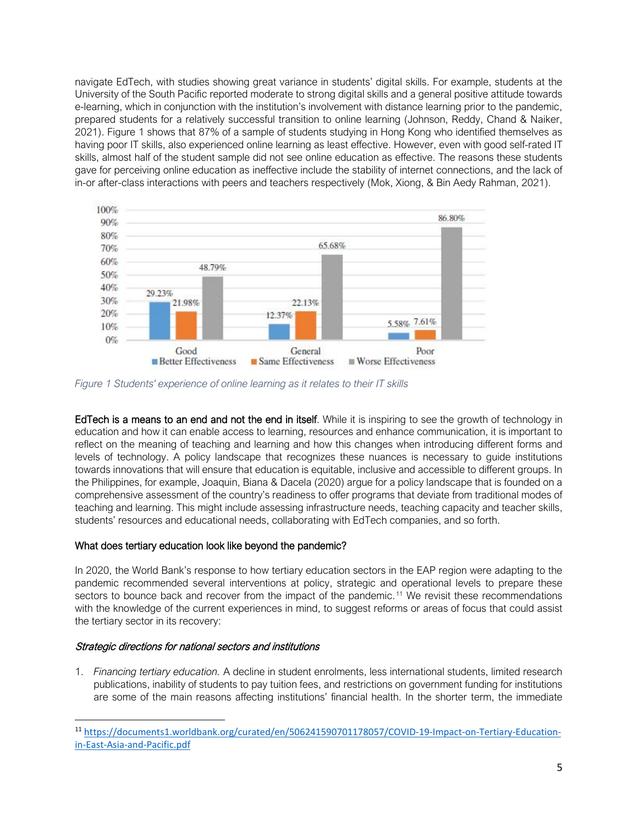navigate EdTech, with studies showing great variance in students' digital skills. For example, students at the University of the South Pacific reported moderate to strong digital skills and a general positive attitude towards e-learning, which in conjunction with the institution's involvement with distance learning prior to the pandemic, prepared students for a relatively successful transition to online learning (Johnson, Reddy, Chand & Naiker, 2021). Figure 1 shows that 87% of a sample of students studying in Hong Kong who identified themselves as having poor IT skills, also experienced online learning as least effective. However, even with good self-rated IT skills, almost half of the student sample did not see online education as effective. The reasons these students gave for perceiving online education as ineffective include the stability of internet connections, and the lack of in-or after-class interactions with peers and teachers respectively (Mok, Xiong, & Bin Aedy Rahman, 2021).



*Figure 1 Students' experience of online learning as it relates to their IT skills*

EdTech is a means to an end and not the end in itself. While it is inspiring to see the growth of technology in education and how it can enable access to learning, resources and enhance communication, it is important to reflect on the meaning of teaching and learning and how this changes when introducing different forms and levels of technology. A policy landscape that recognizes these nuances is necessary to guide institutions towards innovations that will ensure that education is equitable, inclusive and accessible to different groups. In the Philippines, for example, Joaquin, Biana & Dacela (2020) argue for a policy landscape that is founded on a comprehensive assessment of the country's readiness to offer programs that deviate from traditional modes of teaching and learning. This might include assessing infrastructure needs, teaching capacity and teacher skills, students' resources and educational needs, collaborating with EdTech companies, and so forth.

### What does tertiary education look like beyond the pandemic?

In 2020, the World Bank's response to how tertiary education sectors in the EAP region were adapting to the pandemic recommended several interventions at policy, strategic and operational levels to prepare these sectors to bounce back and recover from the impact of the pandemic.<sup>[11](#page-4-0)</sup> We revisit these recommendations with the knowledge of the current experiences in mind, to suggest reforms or areas of focus that could assist the tertiary sector in its recovery:

## Strategic directions for national sectors and institutions

1. *Financing tertiary education.* A decline in student enrolments, less international students, limited research publications, inability of students to pay tuition fees, and restrictions on government funding for institutions are some of the main reasons affecting institutions' financial health. In the shorter term, the immediate

<span id="page-4-0"></span><sup>11</sup> [https://documents1.worldbank.org/curated/en/506241590701178057/COVID-19-Impact-on-Tertiary-Education](https://documents1.worldbank.org/curated/en/506241590701178057/COVID-19-Impact-on-Tertiary-Education-in-East-Asia-and-Pacific.pdf)[in-East-Asia-and-Pacific.pdf](https://documents1.worldbank.org/curated/en/506241590701178057/COVID-19-Impact-on-Tertiary-Education-in-East-Asia-and-Pacific.pdf)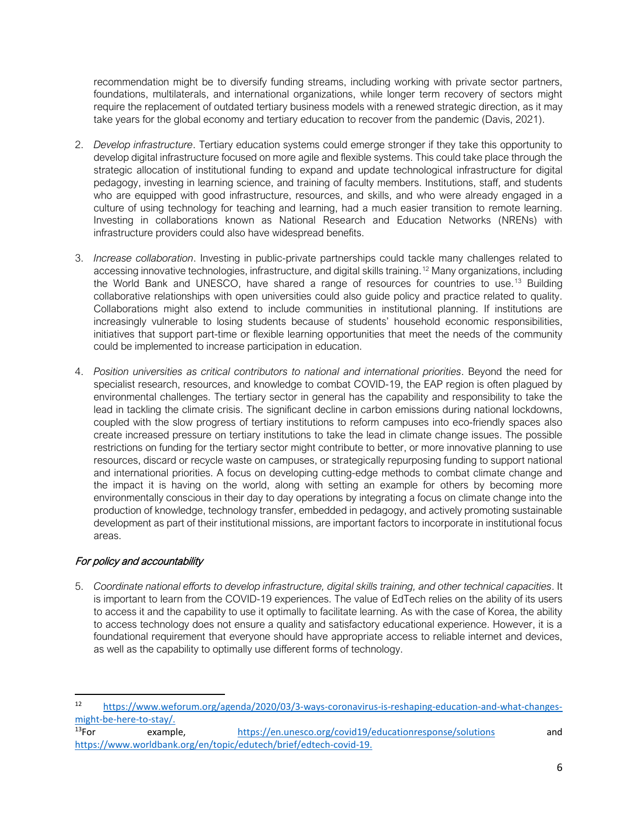recommendation might be to diversify funding streams, including working with private sector partners, foundations, multilaterals, and international organizations, while longer term recovery of sectors might require the replacement of outdated tertiary business models with a renewed strategic direction, as it may take years for the global economy and tertiary education to recover from the pandemic (Davis, 2021).

- 2. *Develop infrastructure*. Tertiary education systems could emerge stronger if they take this opportunity to develop digital infrastructure focused on more agile and flexible systems. This could take place through the strategic allocation of institutional funding to expand and update technological infrastructure for digital pedagogy, investing in learning science, and training of faculty members. Institutions, staff, and students who are equipped with good infrastructure, resources, and skills, and who were already engaged in a culture of using technology for teaching and learning, had a much easier transition to remote learning. Investing in collaborations known as National Research and Education Networks (NRENs) with infrastructure providers could also have widespread benefits.
- 3. *Increase collaboration*. Investing in public-private partnerships could tackle many challenges related to accessing innovative technologies, infrastructure, and digital skills training.[12](#page-5-0) Many organizations, including the World Bank and UNESCO, have shared a range of resources for countries to use.[13](#page-5-1) Building collaborative relationships with open universities could also guide policy and practice related to quality. Collaborations might also extend to include communities in institutional planning. If institutions are increasingly vulnerable to losing students because of students' household economic responsibilities, initiatives that support part-time or flexible learning opportunities that meet the needs of the community could be implemented to increase participation in education.
- 4. *Position universities as critical contributors to national and international priorities*. Beyond the need for specialist research, resources, and knowledge to combat COVID-19, the EAP region is often plagued by environmental challenges. The tertiary sector in general has the capability and responsibility to take the lead in tackling the climate crisis. The significant decline in carbon emissions during national lockdowns, coupled with the slow progress of tertiary institutions to reform campuses into eco-friendly spaces also create increased pressure on tertiary institutions to take the lead in climate change issues. The possible restrictions on funding for the tertiary sector might contribute to better, or more innovative planning to use resources, discard or recycle waste on campuses, or strategically repurposing funding to support national and international priorities. A focus on developing cutting-edge methods to combat climate change and the impact it is having on the world, along with setting an example for others by becoming more environmentally conscious in their day to day operations by integrating a focus on climate change into the production of knowledge, technology transfer, embedded in pedagogy, and actively promoting sustainable development as part of their institutional missions, are important factors to incorporate in institutional focus areas.

# For policy and accountability

5. *Coordinate national efforts to develop infrastructure, digital skills training, and other technical capacities*. It is important to learn from the COVID-19 experiences. The value of EdTech relies on the ability of its users to access it and the capability to use it optimally to facilitate learning. As with the case of Korea, the ability to access technology does not ensure a quality and satisfactory educational experience. However, it is a foundational requirement that everyone should have appropriate access to reliable internet and devices, as well as the capability to optimally use different forms of technology.

<span id="page-5-0"></span><sup>12</sup> [https://www.weforum.org/agenda/2020/03/3-ways-coronavirus-is-reshaping-education-and-what-changes](https://www.weforum.org/agenda/2020/03/3-ways-coronavirus-is-reshaping-education-and-what-changes-might-be-here-to-stay/)[might-be-here-to-stay/.](https://www.weforum.org/agenda/2020/03/3-ways-coronavirus-is-reshaping-education-and-what-changes-might-be-here-to-stay/)<br><sup>13</sup>For exampl

<span id="page-5-1"></span>example, <https://en.unesco.org/covid19/educationresponse/solutions> and [https://www.worldbank.org/en/topic/edutech/brief/edtech-covid-19.](https://www.worldbank.org/en/topic/edutech/brief/edtech-covid-19)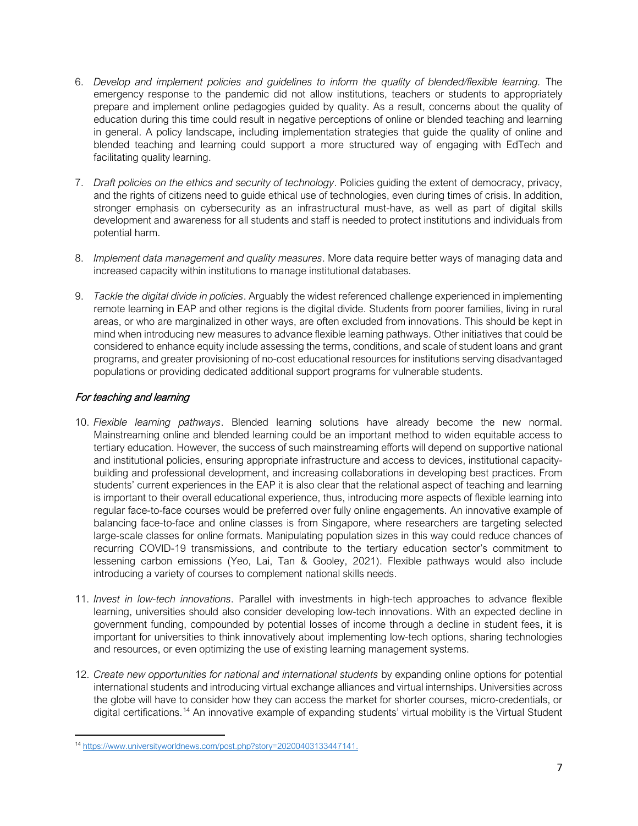- 6. *Develop and implement policies and guidelines to inform the quality of blended/flexible learning.* The emergency response to the pandemic did not allow institutions, teachers or students to appropriately prepare and implement online pedagogies guided by quality. As a result, concerns about the quality of education during this time could result in negative perceptions of online or blended teaching and learning in general. A policy landscape, including implementation strategies that guide the quality of online and blended teaching and learning could support a more structured way of engaging with EdTech and facilitating quality learning.
- 7. *Draft policies on the ethics and security of technology*. Policies guiding the extent of democracy, privacy, and the rights of citizens need to guide ethical use of technologies, even during times of crisis. In addition, stronger emphasis on cybersecurity as an infrastructural must-have, as well as part of digital skills development and awareness for all students and staff is needed to protect institutions and individuals from potential harm.
- 8. *Implement data management and quality measures*. More data require better ways of managing data and increased capacity within institutions to manage institutional databases.
- 9. *Tackle the digital divide in policies*. Arguably the widest referenced challenge experienced in implementing remote learning in EAP and other regions is the digital divide. Students from poorer families, living in rural areas, or who are marginalized in other ways, are often excluded from innovations. This should be kept in mind when introducing new measures to advance flexible learning pathways. Other initiatives that could be considered to enhance equity include assessing the terms, conditions, and scale of student loans and grant programs, and greater provisioning of no-cost educational resources for institutions serving disadvantaged populations or providing dedicated additional support programs for vulnerable students.

## For teaching and learning

- 10. *Flexible learning pathways*. Blended learning solutions have already become the new normal. Mainstreaming online and blended learning could be an important method to widen equitable access to tertiary education. However, the success of such mainstreaming efforts will depend on supportive national and institutional policies, ensuring appropriate infrastructure and access to devices, institutional capacitybuilding and professional development, and increasing collaborations in developing best practices. From students' current experiences in the EAP it is also clear that the relational aspect of teaching and learning is important to their overall educational experience, thus, introducing more aspects of flexible learning into regular face-to-face courses would be preferred over fully online engagements. An innovative example of balancing face-to-face and online classes is from Singapore, where researchers are targeting selected large-scale classes for online formats. Manipulating population sizes in this way could reduce chances of recurring COVID-19 transmissions, and contribute to the tertiary education sector's commitment to lessening carbon emissions (Yeo, Lai, Tan & Gooley, 2021). Flexible pathways would also include introducing a variety of courses to complement national skills needs.
- 11. *Invest in low-tech innovations*. Parallel with investments in high-tech approaches to advance flexible learning, universities should also consider developing low-tech innovations. With an expected decline in government funding, compounded by potential losses of income through a decline in student fees, it is important for universities to think innovatively about implementing low-tech options, sharing technologies and resources, or even optimizing the use of existing learning management systems.
- 12. *Create new opportunities for national and international students* by expanding online options for potential international students and introducing virtual exchange alliances and virtual internships. Universities across the globe will have to consider how they can access the market for shorter courses, micro-credentials, or digital certifications.[14](#page-6-0) An innovative example of expanding students' virtual mobility is the Virtual Student

<span id="page-6-0"></span><sup>14</sup> [https://www.universityworldnews.com/post.php?story=20200403133447141.](https://www.universityworldnews.com/post.php?story=20200403133447141)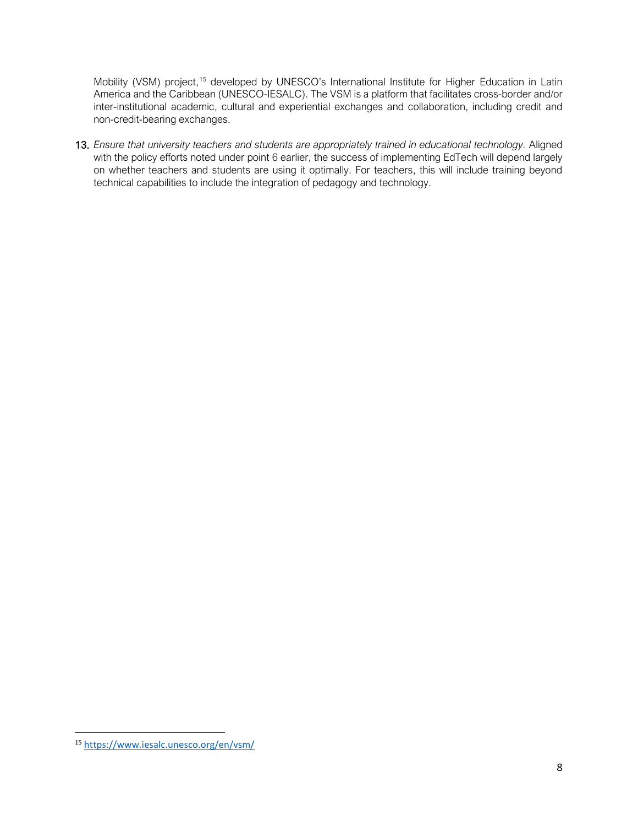Mobility (VSM) project,<sup>[15](#page-7-0)</sup> developed by UNESCO's International Institute for Higher Education in Latin America and the Caribbean (UNESCO-IESALC). The VSM is a platform that facilitates cross-border and/or inter-institutional academic, cultural and experiential exchanges and collaboration, including credit and non-credit-bearing exchanges.

13. *Ensure that university teachers and students are appropriately trained in educational technology.* Aligned with the policy efforts noted under point 6 earlier, the success of implementing EdTech will depend largely on whether teachers and students are using it optimally. For teachers, this will include training beyond technical capabilities to include the integration of pedagogy and technology.

<span id="page-7-0"></span><sup>15</sup> <https://www.iesalc.unesco.org/en/vsm/>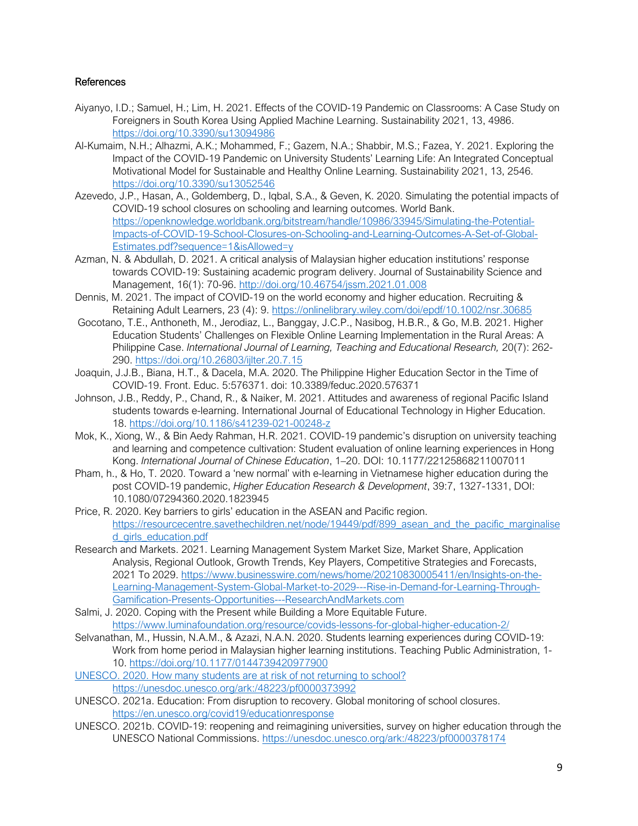### References

- Aiyanyo, I.D.; Samuel, H.; Lim, H. 2021. Effects of the COVID-19 Pandemic on Classrooms: A Case Study on Foreigners in South Korea Using Applied Machine Learning. Sustainability 2021, 13, 4986. <https://doi.org/10.3390/su13094986>
- Al-Kumaim, N.H.; Alhazmi, A.K.; Mohammed, F.; Gazem, N.A.; Shabbir, M.S.; Fazea, Y. 2021. Exploring the Impact of the COVID-19 Pandemic on University Students' Learning Life: An Integrated Conceptual Motivational Model for Sustainable and Healthy Online Learning. Sustainability 2021, 13, 2546. <https://doi.org/10.3390/su13052546>
- Azevedo, J.P., Hasan, A., Goldemberg, D., Iqbal, S.A., & Geven, K. 2020. Simulating the potential impacts of COVID-19 school closures on schooling and learning outcomes. World Bank. [https://openknowledge.worldbank.org/bitstream/handle/10986/33945/Simulating-the-Potential-](https://openknowledge.worldbank.org/bitstream/handle/10986/33945/Simulating-the-Potential-Impacts-of-COVID-19-School-Closures-on-Schooling-and-Learning-Outcomes-A-Set-of-Global-Estimates.pdf?sequence=1&isAllowed=y)[Impacts-of-COVID-19-School-Closures-on-Schooling-and-Learning-Outcomes-A-Set-of-Global-](https://openknowledge.worldbank.org/bitstream/handle/10986/33945/Simulating-the-Potential-Impacts-of-COVID-19-School-Closures-on-Schooling-and-Learning-Outcomes-A-Set-of-Global-Estimates.pdf?sequence=1&isAllowed=y)[Estimates.pdf?sequence=1&isAllowed=y](https://openknowledge.worldbank.org/bitstream/handle/10986/33945/Simulating-the-Potential-Impacts-of-COVID-19-School-Closures-on-Schooling-and-Learning-Outcomes-A-Set-of-Global-Estimates.pdf?sequence=1&isAllowed=y)
- Azman, N. & Abdullah, D. 2021. A critical analysis of Malaysian higher education institutions' response towards COVID-19: Sustaining academic program delivery. Journal of Sustainability Science and Management, 16(1): 70-96.<http://doi.org/10.46754/jssm.2021.01.008>
- Dennis, M. 2021. The impact of COVID-19 on the world economy and higher education. Recruiting & Retaining Adult Learners, 23 (4): 9.<https://onlinelibrary.wiley.com/doi/epdf/10.1002/nsr.30685>
- Gocotano, T.E., Anthoneth, M., Jerodiaz, L., Banggay, J.C.P., Nasibog, H.B.R., & Go, M.B. 2021. Higher Education Students' Challenges on Flexible Online Learning Implementation in the Rural Areas: A Philippine Case. *International Journal of Learning, Teaching and Educational Research,* 20(7): 262- 290.<https://doi.org/10.26803/ijlter.20.7.15>
- Joaquin, J.J.B., Biana, H.T., & Dacela, M.A. 2020. The Philippine Higher Education Sector in the Time of COVID-19. Front. Educ. 5:576371. doi: 10.3389/feduc.2020.576371
- Johnson, J.B., Reddy, P., Chand, R., & Naiker, M. 2021. Attitudes and awareness of regional Pacific Island students towards e-learning. International Journal of Educational Technology in Higher Education. 18.<https://doi.org/10.1186/s41239-021-00248-z>
- Mok, K., Xiong, W., & Bin Aedy Rahman, H.R. 2021. COVID-19 pandemic's disruption on university teaching and learning and competence cultivation: Student evaluation of online learning experiences in Hong Kong. *International Journal of Chinese Education*, 1–20. DOI: 10.1177/22125868211007011
- Pham, h., & Ho, T. 2020. Toward a 'new normal' with e-learning in Vietnamese higher education during the post COVID-19 pandemic, *Higher Education Research & Development*, 39:7, 1327-1331, DOI: 10.1080/07294360.2020.1823945
- Price, R. 2020. Key barriers to girls' education in the ASEAN and Pacific region. [https://resourcecentre.savethechildren.net/node/19449/pdf/899\\_asean\\_and\\_the\\_pacific\\_marginalise](https://resourcecentre.savethechildren.net/node/19449/pdf/899_asean_and_the_pacific_marginalised_girls_education.pdf) [d\\_girls\\_education.pdf](https://resourcecentre.savethechildren.net/node/19449/pdf/899_asean_and_the_pacific_marginalised_girls_education.pdf)
- Research and Markets. 2021. Learning Management System Market Size, Market Share, Application Analysis, Regional Outlook, Growth Trends, Key Players, Competitive Strategies and Forecasts, 2021 To 2029. [https://www.businesswire.com/news/home/20210830005411/en/Insights-on-the-](https://www.businesswire.com/news/home/20210830005411/en/Insights-on-the-Learning-Management-System-Global-Market-to-2029---Rise-in-Demand-for-Learning-Through-Gamification-Presents-Opportunities---ResearchAndMarkets.com)[Learning-Management-System-Global-Market-to-2029---Rise-in-Demand-for-Learning-Through-](https://www.businesswire.com/news/home/20210830005411/en/Insights-on-the-Learning-Management-System-Global-Market-to-2029---Rise-in-Demand-for-Learning-Through-Gamification-Presents-Opportunities---ResearchAndMarkets.com)[Gamification-Presents-Opportunities---ResearchAndMarkets.com](https://www.businesswire.com/news/home/20210830005411/en/Insights-on-the-Learning-Management-System-Global-Market-to-2029---Rise-in-Demand-for-Learning-Through-Gamification-Presents-Opportunities---ResearchAndMarkets.com)
- Salmi, J. 2020. Coping with the Present while Building a More Equitable Future. <https://www.luminafoundation.org/resource/covids-lessons-for-global-higher-education-2/>
- Selvanathan, M., Hussin, N.A.M., & Azazi, N.A.N. 2020. Students learning experiences during COVID-19: Work from home period in Malaysian higher learning institutions. Teaching Public Administration, 1- 10.<https://doi.org/10.1177/0144739420977900>
- UNESCO. 2020. How many students are at risk of not returning to school?
	- <https://unesdoc.unesco.org/ark:/48223/pf0000373992>
- UNESCO. 2021a. Education: From disruption to recovery. Global monitoring of school closures. <https://en.unesco.org/covid19/educationresponse>
- UNESCO. 2021b. COVID-19: reopening and reimagining universities, survey on higher education through the UNESCO National Commissions.<https://unesdoc.unesco.org/ark:/48223/pf0000378174>